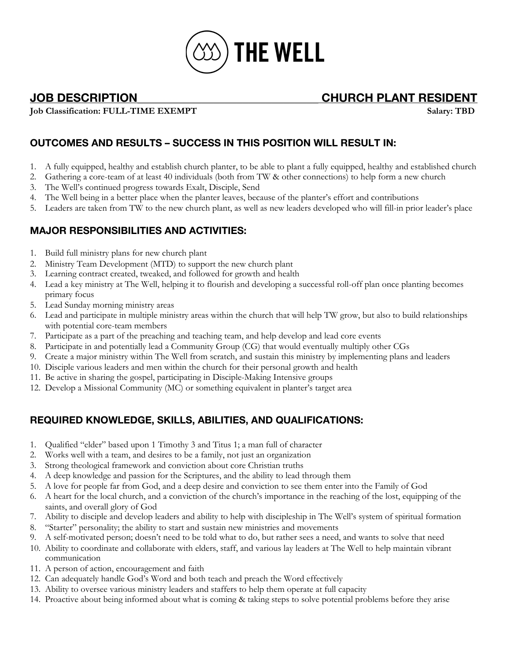

**JOB DESCRIPTION\_\_\_\_\_\_\_\_\_\_\_\_\_\_\_\_\_\_\_\_\_\_\_\_\_\_\_\_\_\_\_ CHURCH PLANT RESIDENT**

**Job Classification: FULL-TIME EXEMPT Salary: TBD**

# **OUTCOMES AND RESULTS – SUCCESS IN THIS POSITION WILL RESULT IN:**

- 1. A fully equipped, healthy and establish church planter, to be able to plant a fully equipped, healthy and established church
- 2. Gathering a core-team of at least 40 individuals (both from TW & other connections) to help form a new church
- 3. The Well's continued progress towards Exalt, Disciple, Send
- 4. The Well being in a better place when the planter leaves, because of the planter's effort and contributions
- 5. Leaders are taken from TW to the new church plant, as well as new leaders developed who will fill-in prior leader's place

## **MAJOR RESPONSIBILITIES AND ACTIVITIES:**

- 1. Build full ministry plans for new church plant
- 2. Ministry Team Development (MTD) to support the new church plant
- 3. Learning contract created, tweaked, and followed for growth and health
- 4. Lead a key ministry at The Well, helping it to flourish and developing a successful roll-off plan once planting becomes primary focus
- 5. Lead Sunday morning ministry areas
- 6. Lead and participate in multiple ministry areas within the church that will help TW grow, but also to build relationships with potential core-team members
- 7. Participate as a part of the preaching and teaching team, and help develop and lead core events
- 8. Participate in and potentially lead a Community Group (CG) that would eventually multiply other CGs
- 9. Create a major ministry within The Well from scratch, and sustain this ministry by implementing plans and leaders
- 10. Disciple various leaders and men within the church for their personal growth and health
- 11. Be active in sharing the gospel, participating in Disciple-Making Intensive groups
- 12. Develop a Missional Community (MC) or something equivalent in planter's target area

## **REQUIRED KNOWLEDGE, SKILLS, ABILITIES, AND QUALIFICATIONS:**

- 1. Qualified "elder" based upon 1 Timothy 3 and Titus 1; a man full of character
- 2. Works well with a team, and desires to be a family, not just an organization
- 3. Strong theological framework and conviction about core Christian truths
- 4. A deep knowledge and passion for the Scriptures, and the ability to lead through them
- 5. A love for people far from God, and a deep desire and conviction to see them enter into the Family of God
- 6. A heart for the local church, and a conviction of the church's importance in the reaching of the lost, equipping of the saints, and overall glory of God
- 7. Ability to disciple and develop leaders and ability to help with discipleship in The Well's system of spiritual formation
- 8. "Starter" personality; the ability to start and sustain new ministries and movements
- 9. A self-motivated person; doesn't need to be told what to do, but rather sees a need, and wants to solve that need
- 10. Ability to coordinate and collaborate with elders, staff, and various lay leaders at The Well to help maintain vibrant communication
- 11. A person of action, encouragement and faith
- 12. Can adequately handle God's Word and both teach and preach the Word effectively
- 13. Ability to oversee various ministry leaders and staffers to help them operate at full capacity
- 14. Proactive about being informed about what is coming & taking steps to solve potential problems before they arise